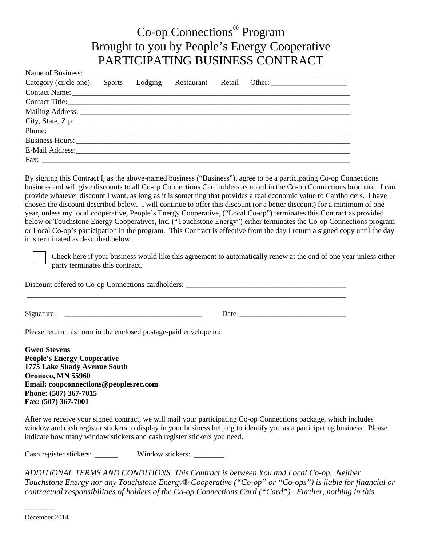## Co-op Connections® Program Brought to you by People's Energy Cooperative PARTICIPATING BUSINESS CONTRACT

| Category (circle one): Sports Lodging |  |  |  |
|---------------------------------------|--|--|--|
|                                       |  |  |  |
|                                       |  |  |  |
|                                       |  |  |  |
|                                       |  |  |  |
|                                       |  |  |  |
|                                       |  |  |  |
|                                       |  |  |  |
|                                       |  |  |  |

By signing this Contract I, as the above-named business ("Business"), agree to be a participating Co-op Connections business and will give discounts to all Co-op Connections Cardholders as noted in the Co-op Connections brochure. I can provide whatever discount I want, as long as it is something that provides a real economic value to Cardholders. I have chosen the discount described below. I will continue to offer this discount (or a better discount) for a minimum of one year, unless my local cooperative, People's Energy Cooperative, ("Local Co-op") terminates this Contract as provided below or Touchstone Energy Cooperatives, Inc. ("Touchstone Energy") either terminates the Co-op Connections program or Local Co-op's participation in the program. This Contract is effective from the day I return a signed copy until the day it is terminated as described below.

Check here if your business would like this agreement to automatically renew at the end of one year unless either party terminates this contract.

Discount offered to Co-op Connections cardholders: \_\_\_\_\_\_\_\_\_\_\_\_\_\_\_\_\_\_\_\_\_\_\_\_\_\_\_\_\_\_\_\_\_\_\_\_\_\_\_\_\_\_\_\_\_\_\_\_\_\_\_\_\_\_\_\_\_\_\_\_\_\_\_\_\_\_\_\_\_\_\_\_\_\_\_\_\_\_\_\_\_\_\_\_

Signature: \_\_\_\_\_\_\_\_\_\_\_\_\_\_\_\_\_\_\_\_\_\_\_\_\_\_\_\_\_\_\_\_\_\_\_\_ Date \_\_\_\_\_\_\_\_\_\_\_\_\_\_\_\_\_\_\_\_\_\_\_\_\_\_\_\_

Please return this form in the enclosed postage-paid envelope to:

**Gwen Stevens People's Energy Cooperative 1775 Lake Shady Avenue South Oronoco, MN 55960 Email: coopconnections@peoplesrec.com Phone: (507) 367-7015 Fax: (507) 367-7001**

After we receive your signed contract, we will mail your participating Co-op Connections package, which includes window and cash register stickers to display in your business helping to identify you as a participating business. Please indicate how many window stickers and cash register stickers you need.

Cash register stickers: \_\_\_\_\_\_ Window stickers: \_\_\_\_\_\_

*ADDITIONAL TERMS AND CONDITIONS. This Contract is between You and Local Co-op. Neither Touchstone Energy nor any Touchstone Energy® Cooperative ("Co-op" or "Co-ops") is liable for financial or contractual responsibilities of holders of the Co-op Connections Card ("Card"). Further, nothing in this* 

-------------